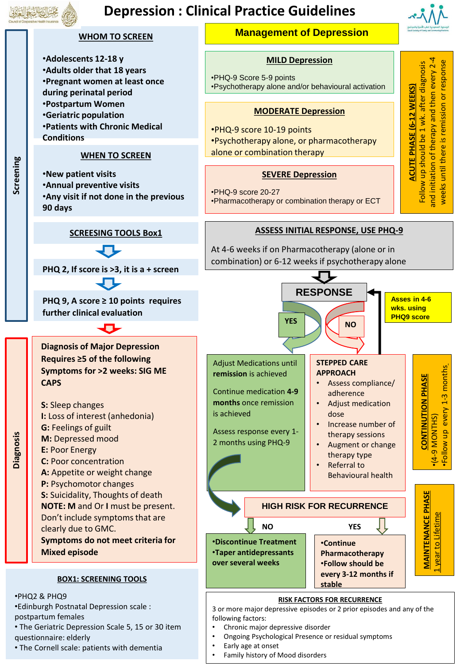# **Depression : Clinical Practice Guidelines**

**Management of Depression** 

**WHOM TO SCREEN**





<sup>•</sup> The Cornell scale: patients with dementia

• Early age at onset • Family history of Mood disorders